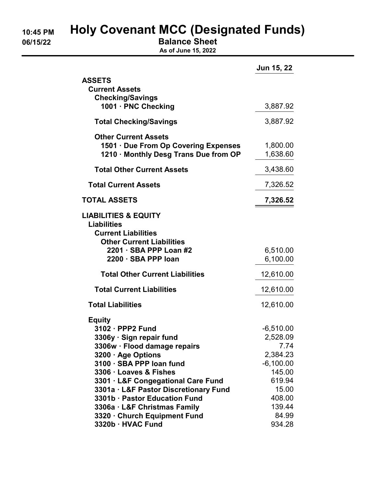# 10:45 PM Holy Covenant MCC (Designated Funds)

06/15/22 **Balance Sheet** 

As of June 15, 2022

|                                                                                                                         | <b>Jun 15, 22</b>    |
|-------------------------------------------------------------------------------------------------------------------------|----------------------|
| <b>ASSETS</b><br><b>Current Assets</b><br><b>Checking/Savings</b><br>1001 · PNC Checking                                | 3,887.92             |
| <b>Total Checking/Savings</b>                                                                                           | 3,887.92             |
|                                                                                                                         |                      |
| <b>Other Current Assets</b><br>1501 · Due From Op Covering Expenses<br>1210 · Monthly Desg Trans Due from OP            | 1,800.00<br>1,638.60 |
| <b>Total Other Current Assets</b>                                                                                       | 3,438.60             |
| <b>Total Current Assets</b>                                                                                             | 7,326.52             |
| <b>TOTAL ASSETS</b>                                                                                                     | 7,326.52             |
| <b>LIABILITIES &amp; EQUITY</b><br><b>Liabilities</b><br><b>Current Liabilities</b><br><b>Other Current Liabilities</b> |                      |
| 2201 · SBA PPP Loan #2<br>2200 · SBA PPP loan                                                                           | 6,510.00<br>6,100.00 |
| <b>Total Other Current Liabilities</b>                                                                                  | 12,610.00            |
| <b>Total Current Liabilities</b>                                                                                        | 12,610.00            |
| <b>Total Liabilities</b>                                                                                                | 12,610.00            |
| <b>Equity</b>                                                                                                           |                      |
| 3102 · PPP2 Fund                                                                                                        | $-6,510.00$          |
| 3306y · Sign repair fund                                                                                                | 2,528.09             |
| 3306w · Flood damage repairs                                                                                            | 7.74                 |
| 3200 · Age Options                                                                                                      | 2,384.23             |
| 3100 · SBA PPP loan fund                                                                                                | $-6,100.00$          |
| 3306 · Loaves & Fishes                                                                                                  | 145.00               |
| 3301 · L&F Congegational Care Fund                                                                                      | 619.94               |
| 3301a · L&F Pastor Discretionary Fund<br>3301b · Pastor Education Fund                                                  | 15.00<br>408.00      |
| 3306a · L&F Christmas Family                                                                                            | 139.44               |
| 3320 · Church Equipment Fund                                                                                            | 84.99                |
| 3320b · HVAC Fund                                                                                                       | 934.28               |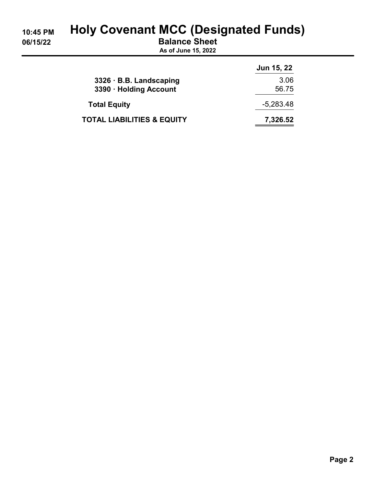# 10:45 PM Holy Covenant MCC (Designated Funds)

06/15/22 Balance Sheet

As of June 15, 2022

|                                       | <b>Jun 15, 22</b> |
|---------------------------------------|-------------------|
| $3326 \cdot B.B.$ Landscaping         | 3.06              |
| 3390 · Holding Account                | 56.75             |
| <b>Total Equity</b>                   | $-5,283.48$       |
| <b>TOTAL LIABILITIES &amp; EQUITY</b> | 7,326.52          |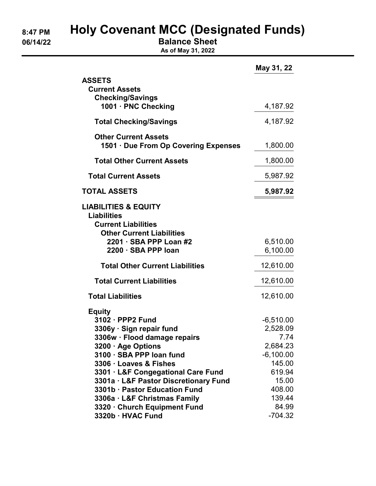# 8:47 PM Holy Covenant MCC (Designated Funds)

06/14/22 **Balance Sheet** 

As of May 31, 2022

|                                                                             | May 31, 22       |
|-----------------------------------------------------------------------------|------------------|
| <b>ASSETS</b>                                                               |                  |
| <b>Current Assets</b>                                                       |                  |
| <b>Checking/Savings</b><br>1001 · PNC Checking                              | 4,187.92         |
| <b>Total Checking/Savings</b>                                               | 4,187.92         |
| <b>Other Current Assets</b><br>1501 · Due From Op Covering Expenses         | 1,800.00         |
| <b>Total Other Current Assets</b>                                           | 1,800.00         |
| <b>Total Current Assets</b>                                                 | 5,987.92         |
| <b>TOTAL ASSETS</b>                                                         | 5,987.92         |
| <b>LIABILITIES &amp; EQUITY</b>                                             |                  |
| <b>Liabilities</b>                                                          |                  |
| <b>Current Liabilities</b><br><b>Other Current Liabilities</b>              |                  |
| 2201 · SBA PPP Loan #2                                                      | 6,510.00         |
| 2200 · SBA PPP loan                                                         | 6,100.00         |
| <b>Total Other Current Liabilities</b>                                      | 12,610.00        |
| <b>Total Current Liabilities</b>                                            | 12,610.00        |
| <b>Total Liabilities</b>                                                    | 12,610.00        |
| <b>Equity</b>                                                               |                  |
| 3102 · PPP2 Fund                                                            | $-6,510.00$      |
| 3306y · Sign repair fund                                                    | 2,528.09         |
| 3306w · Flood damage repairs                                                | 7.74             |
| 3200 · Age Options                                                          | 2,684.23         |
| 3100 · SBA PPP loan fund                                                    | $-6,100.00$      |
| 3306 · Loaves & Fishes                                                      | 145.00<br>619.94 |
| 3301 · L&F Congegational Care Fund<br>3301a · L&F Pastor Discretionary Fund | 15.00            |
| 3301b · Pastor Education Fund                                               | 408.00           |
| 3306a · L&F Christmas Family                                                | 139.44           |
| 3320 · Church Equipment Fund                                                | 84.99            |
| 3320b · HVAC Fund                                                           | $-704.32$        |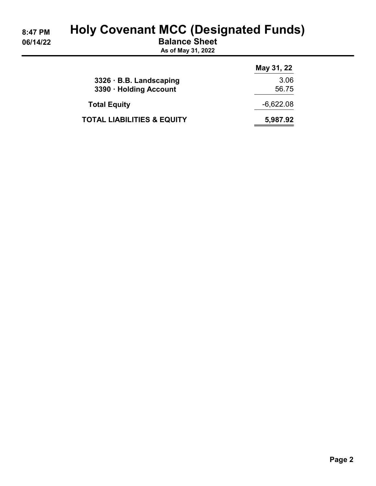# 8:47 PM Holy Covenant MCC (Designated Funds)

06/14/22 Balance Sheet

As of May 31, 2022

|                                       | May 31, 22  |
|---------------------------------------|-------------|
| $3326 \cdot B.B.$ Landscaping         | 3.06        |
| 3390 · Holding Account                | 56.75       |
| <b>Total Equity</b>                   | $-6,622.08$ |
| <b>TOTAL LIABILITIES &amp; EQUITY</b> | 5,987.92    |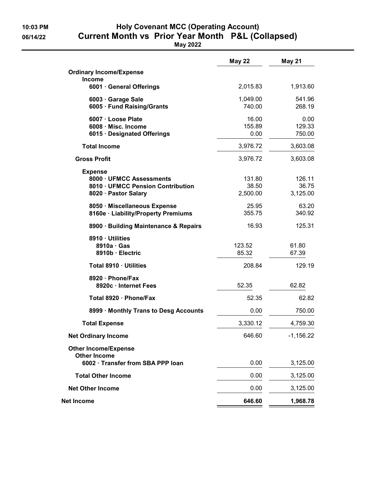## 10:03 PM Holy Covenant MCC (Operating Account) 06/14/22 Current Month vs Prior Year Month P&L (Collapsed)

May 2022

|                                                          | <b>May 22</b>  | <b>May 21</b>    |
|----------------------------------------------------------|----------------|------------------|
| <b>Ordinary Income/Expense</b>                           |                |                  |
| <b>Income</b><br>6001 · General Offerings                | 2,015.83       | 1,913.60         |
| 6003 · Garage Sale                                       | 1,049.00       | 541.96           |
| 6005 · Fund Raising/Grants                               | 740.00         | 268.19           |
| 6007 · Loose Plate                                       | 16.00          | 0.00             |
| 6008 · Misc. Income<br>6015 · Designated Offerings       | 155.89<br>0.00 | 129.33<br>750.00 |
| <b>Total Income</b>                                      | 3,976.72       | 3,603.08         |
| <b>Gross Profit</b>                                      | 3,976.72       | 3,603.08         |
| <b>Expense</b>                                           |                |                  |
| 8000 · UFMCC Assessments                                 | 131.80         | 126.11           |
| 8010 · UFMCC Pension Contribution                        | 38.50          | 36.75            |
| 8020 · Pastor Salary                                     | 2,500.00       | 3,125.00         |
| 8050 · Miscellaneous Expense                             | 25.95          | 63.20            |
| 8160e · Liability/Property Premiums                      | 355.75         | 340.92           |
| 8900 · Building Maintenance & Repairs                    | 16.93          | 125.31           |
| 8910 · Utilities                                         |                |                  |
| $8910a \cdot Gas$                                        | 123.52         | 61.80            |
| 8910b · Electric                                         | 85.32          | 67.39            |
| Total 8910 · Utilities                                   | 208.84         | 129.19           |
| 8920 · Phone/Fax                                         |                |                  |
| 8920c · Internet Fees                                    | 52.35          | 62.82            |
| Total 8920 · Phone/Fax                                   | 52.35          | 62.82            |
| 8999 · Monthly Trans to Desg Accounts                    | 0.00           | 750.00           |
| <b>Total Expense</b>                                     | 3,330.12       | 4,759.30         |
| <b>Net Ordinary Income</b>                               | 646.60         | $-1,156.22$      |
| <b>Other Income/Expense</b>                              |                |                  |
| <b>Other Income</b><br>6002 · Transfer from SBA PPP loan | 0.00           | 3,125.00         |
| <b>Total Other Income</b>                                | 0.00           | 3,125.00         |
|                                                          | 0.00           |                  |
| <b>Net Other Income</b>                                  |                | 3,125.00         |
| Net Income                                               | 646.60         | 1,968.78         |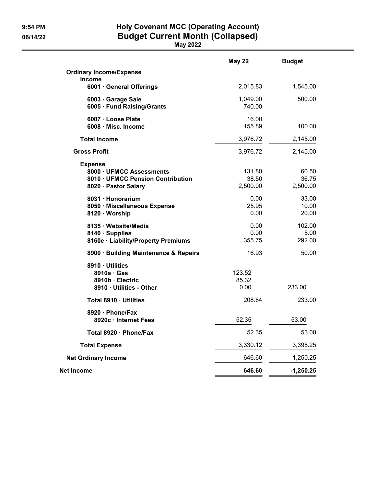## 9:54 PM **Holy Covenant MCC (Operating Account)** 06/14/22 Budget Current Month (Collapsed)

May 2022

|                                                                                                         | <b>May 22</b>               | <b>Budget</b>              |
|---------------------------------------------------------------------------------------------------------|-----------------------------|----------------------------|
| <b>Ordinary Income/Expense</b><br><b>Income</b>                                                         |                             |                            |
| 6001 · General Offerings                                                                                | 2,015.83                    | 1,545.00                   |
| 6003 · Garage Sale<br>6005 · Fund Raising/Grants                                                        | 1,049.00<br>740.00          | 500.00                     |
| 6007 · Loose Plate<br>6008 · Misc. Income                                                               | 16.00<br>155.89             | 100.00                     |
| <b>Total Income</b>                                                                                     | 3,976.72                    | 2,145.00                   |
| <b>Gross Profit</b>                                                                                     | 3,976.72                    | 2,145.00                   |
| <b>Expense</b><br>8000 · UFMCC Assessments<br>8010 · UFMCC Pension Contribution<br>8020 · Pastor Salary | 131.80<br>38.50<br>2,500.00 | 60.50<br>36.75<br>2,500.00 |
| 8031 · Honorarium<br>8050 · Miscellaneous Expense<br>8120 · Worship                                     | 0.00<br>25.95<br>0.00       | 33.00<br>10.00<br>20.00    |
| 8135 · Website/Media<br>8140 · Supplies<br>8160e · Liability/Property Premiums                          | 0.00<br>0.00<br>355.75      | 102.00<br>5.00<br>292.00   |
| 8900 · Building Maintenance & Repairs                                                                   | 16.93                       | 50.00                      |
| 8910 · Utilities<br>$8910a \cdot Gas$<br>8910b · Electric<br>8910 · Utilities - Other                   | 123.52<br>85.32<br>0.00     | 233.00                     |
| Total 8910 · Utilities                                                                                  | 208.84                      | 233.00                     |
| 8920 Phone/Fax<br>8920c · Internet Fees                                                                 | 52.35                       | 53.00                      |
| Total 8920 · Phone/Fax                                                                                  | 52.35                       | 53.00                      |
| <b>Total Expense</b>                                                                                    | 3,330.12                    | 3,395.25                   |
| <b>Net Ordinary Income</b>                                                                              | 646.60                      | $-1,250.25$                |
| Net Income                                                                                              | 646.60                      | $-1,250.25$                |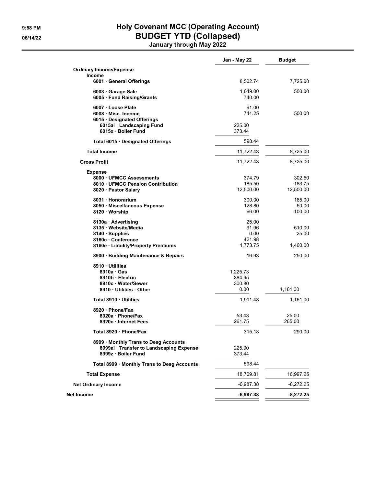## 9:58 PM **Holy Covenant MCC (Operating Account)** 06/14/22 BUDGET YTD (Collapsed)

January through May 2022

|                                                                                                          | Jan - May 22       | <b>Budget</b>   |
|----------------------------------------------------------------------------------------------------------|--------------------|-----------------|
| <b>Ordinary Income/Expense</b><br>Income                                                                 |                    |                 |
| 6001 General Offerings                                                                                   | 8,502.74           | 7,725.00        |
| 6003 Garage Sale<br>6005 Fund Raising/Grants                                                             | 1,049.00<br>740.00 | 500.00          |
| 6007 Loose Plate<br>6008 · Misc. Income                                                                  | 91.00<br>741.25    | 500.00          |
| 6015 Designated Offerings<br>6015ai · Landscaping Fund<br>6015x · Boiler Fund                            | 225.00<br>373.44   |                 |
| Total 6015 · Designated Offerings                                                                        | 598.44             |                 |
| <b>Total Income</b>                                                                                      | 11,722.43          | 8,725.00        |
| <b>Gross Profit</b>                                                                                      | 11,722.43          | 8,725.00        |
| <b>Expense</b>                                                                                           |                    |                 |
| 8000 UFMCC Assessments                                                                                   | 374.79             | 302.50          |
| 8010 UFMCC Pension Contribution                                                                          | 185.50             | 183.75          |
| 8020 · Pastor Salary                                                                                     | 12,500.00          | 12,500.00       |
| 8031 · Honorarium                                                                                        | 300.00             | 165.00          |
| 8050 · Miscellaneous Expense                                                                             | 128.80             | 50.00           |
| 8120 · Worship                                                                                           | 66.00              | 100.00          |
| 8130a · Advertising                                                                                      | 25.00              |                 |
| 8135 · Website/Media                                                                                     | 91.96              | 510.00          |
| 8140 Supplies                                                                                            | 0.00               | 25.00           |
| 8160c Conference                                                                                         | 421.98             |                 |
| 8160e · Liability/Property Premiums                                                                      | 1,773.75           | 1,460.00        |
| 8900 · Building Maintenance & Repairs                                                                    | 16.93              | 250.00          |
| 8910 Utilities                                                                                           |                    |                 |
| 8910a Gas                                                                                                | 1,225.73           |                 |
| 8910b Electric                                                                                           | 384.95             |                 |
| 8910c · Water/Sewer<br>8910 Utilities - Other                                                            | 300.80<br>0.00     | 1,161.00        |
|                                                                                                          |                    |                 |
| Total 8910 Utilities                                                                                     | 1,911.48           | 1.161.00        |
| 8920 Phone/Fax                                                                                           |                    |                 |
| 8920a · Phone/Fax                                                                                        | 53.43              | 25.00<br>265.00 |
| 8920c · Internet Fees                                                                                    | 261.75             |                 |
| Total 8920 · Phone/Fax                                                                                   | 315.18             | 290.00          |
| 8999 · Monthly Trans to Desg Accounts<br>8999ai · Transfer to Landscaping Expense<br>8999z · Boiler Fund | 225.00<br>373.44   |                 |
| Total 8999 · Monthly Trans to Desg Accounts                                                              | 598.44             |                 |
| <b>Total Expense</b>                                                                                     | 18,709.81          | 16,997.25       |
| <b>Net Ordinary Income</b>                                                                               | $-6,987.38$        | -8,272.25       |
| Net Income                                                                                               | $-6,987.38$        | $-8,272.25$     |
|                                                                                                          |                    |                 |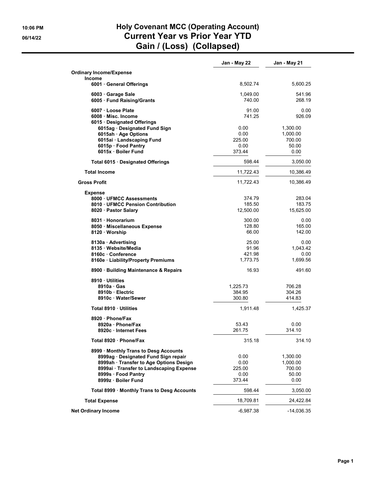### 10:06 PM **Holy Covenant MCC (Operating Account)** 06/14/22 Current Year vs Prior Year YTD Gain / (Loss) (Collapsed)

|                                                          | Jan - May 22       | Jan - May 21     |
|----------------------------------------------------------|--------------------|------------------|
| <b>Ordinary Income/Expense</b><br><b>Income</b>          |                    |                  |
| 6001 General Offerings                                   | 8,502.74           | 5,600.25         |
| 6003 Garage Sale<br>6005 Fund Raising/Grants             | 1,049.00<br>740.00 | 541.96<br>268.19 |
| 6007 · Loose Plate                                       | 91.00              | 0.00             |
| 6008 Misc. Income                                        | 741.25             | 926.09           |
| 6015 Designated Offerings<br>6015ag Designated Fund Sign | 0.00               | 1,300.00         |
| 6015ah · Age Options                                     | 0.00               | 1,000.00         |
| 6015ai · Landscaping Fund                                | 225.00             | 700.00           |
| 6015p · Food Pantry                                      | 0.00               | 50.00            |
| 6015x Boiler Fund                                        | 373.44             | 0.00             |
| Total 6015 · Designated Offerings                        | 598.44             | 3,050.00         |
| <b>Total Income</b>                                      | 11,722.43          | 10,386.49        |
| <b>Gross Profit</b>                                      | 11,722.43          | 10,386.49        |
| <b>Expense</b>                                           |                    |                  |
| 8000 UFMCC Assessments                                   | 374.79             | 283.04           |
| 8010 UFMCC Pension Contribution                          | 185.50             | 183.75           |
| 8020 · Pastor Salary                                     | 12.500.00          | 15,625.00        |
| 8031 Honorarium                                          | 300.00             | 0.00             |
| 8050 · Miscellaneous Expense                             | 128.80             | 165.00           |
| 8120 · Worship                                           | 66.00              | 142.00           |
| 8130a · Advertising                                      | 25.00              | 0.00             |
| 8135 · Website/Media                                     | 91.96              | 1,043.42         |
| 8160c Conference                                         | 421.98             | 0.00             |
| 8160e · Liability/Property Premiums                      | 1,773.75           | 1,699.56         |
| 8900 · Building Maintenance & Repairs                    | 16.93              | 491.60           |
| 8910 Utilities                                           |                    |                  |
| 8910a Gas                                                | 1,225.73           | 706.28           |
| 8910b Electric                                           | 384.95             | 304.26           |
| 8910c Water/Sewer                                        | 300.80             | 414.83           |
| Total 8910 Utilities                                     | 1,911.48           | 1,425.37         |
| 8920 · Phone/Fax                                         |                    |                  |
| 8920a · Phone/Fax                                        | 53.43              | 0.00             |
| 8920c · Internet Fees                                    | 261.75             | 314.10           |
| Total 8920 · Phone/Fax                                   | 315.18             | 314.10           |
| 8999 · Monthly Trans to Desg Accounts                    |                    |                  |
| 8999ag · Designated Fund Sign repair                     | 0.00               | 1,300.00         |
| 8999ah · Transfer to Age Options Design                  | 0.00               | 1,000.00         |
| 8999ai · Transfer to Landscaping Expense                 | 225.00             | 700.00           |
| 8999s · Food Pantry                                      | 0.00               | 50.00            |
| 8999z · Boiler Fund                                      | 373.44             | 0.00             |
| Total 8999 · Monthly Trans to Desg Accounts              | 598.44             | 3,050.00         |
| <b>Total Expense</b>                                     | 18,709.81          | 24,422.84        |
| <b>Net Ordinary Income</b>                               | -6,987.38          | -14,036.35       |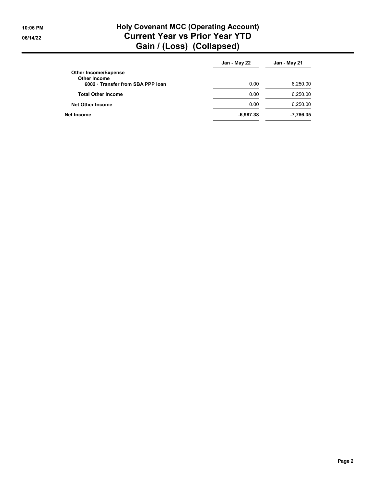## 10:06 PM **Holy Covenant MCC (Operating Account)** 06/14/22 Current Year vs Prior Year YTD Gain / (Loss) (Collapsed)

|                                                    | Jan - May 22 | Jan - May 21 |
|----------------------------------------------------|--------------|--------------|
| <b>Other Income/Expense</b><br><b>Other Income</b> |              |              |
| 6002 Transfer from SBA PPP loan                    | 0.00         | 6,250.00     |
| <b>Total Other Income</b>                          | 0.00         | 6,250.00     |
| <b>Net Other Income</b>                            | 0.00         | 6,250.00     |
| <b>Net Income</b>                                  | $-6,987.38$  | -7,786.35    |
|                                                    |              |              |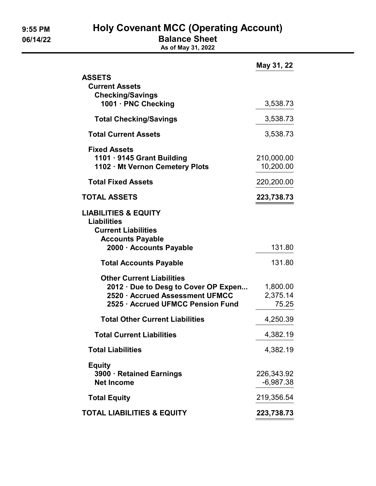9:55 PM Holy Covenant MCC (Operating Account)

06/14/22 **Balance Sheet** 

As of May 31, 2022

|                                                                                                                                                  | May 31, 22                    |
|--------------------------------------------------------------------------------------------------------------------------------------------------|-------------------------------|
| <b>ASSETS</b><br><b>Current Assets</b><br><b>Checking/Savings</b>                                                                                |                               |
| 1001 · PNC Checking                                                                                                                              | 3,538.73                      |
| <b>Total Checking/Savings</b>                                                                                                                    | 3,538.73                      |
| <b>Total Current Assets</b>                                                                                                                      | 3,538.73                      |
| <b>Fixed Assets</b><br>1101 · 9145 Grant Building<br>1102 · Mt Vernon Cemetery Plots                                                             | 210,000.00<br>10,200.00       |
| <b>Total Fixed Assets</b>                                                                                                                        | 220,200.00                    |
| <b>TOTAL ASSETS</b>                                                                                                                              | 223,738.73                    |
| <b>LIABILITIES &amp; EQUITY</b><br><b>Liabilities</b><br><b>Current Liabilities</b><br><b>Accounts Payable</b>                                   |                               |
| 2000 · Accounts Payable                                                                                                                          | 131.80                        |
| <b>Total Accounts Payable</b>                                                                                                                    | 131.80                        |
| <b>Other Current Liabilities</b><br>2012 · Due to Desg to Cover OP Expen<br>2520 · Accrued Assessment UFMCC<br>2525 · Accrued UFMCC Pension Fund | 1,800.00<br>2,375.14<br>75.25 |
| <b>Total Other Current Liabilities</b>                                                                                                           | 4,250.39                      |
| <b>Total Current Liabilities</b>                                                                                                                 | 4,382.19                      |
| <b>Total Liabilities</b>                                                                                                                         | 4,382.19                      |
| <b>Equity</b><br>3900 · Retained Earnings<br><b>Net Income</b>                                                                                   | 226,343.92<br>$-6,987.38$     |
| <b>Total Equity</b>                                                                                                                              | 219,356.54                    |
| <b>TOTAL LIABILITIES &amp; EQUITY</b>                                                                                                            | 223,738.73                    |